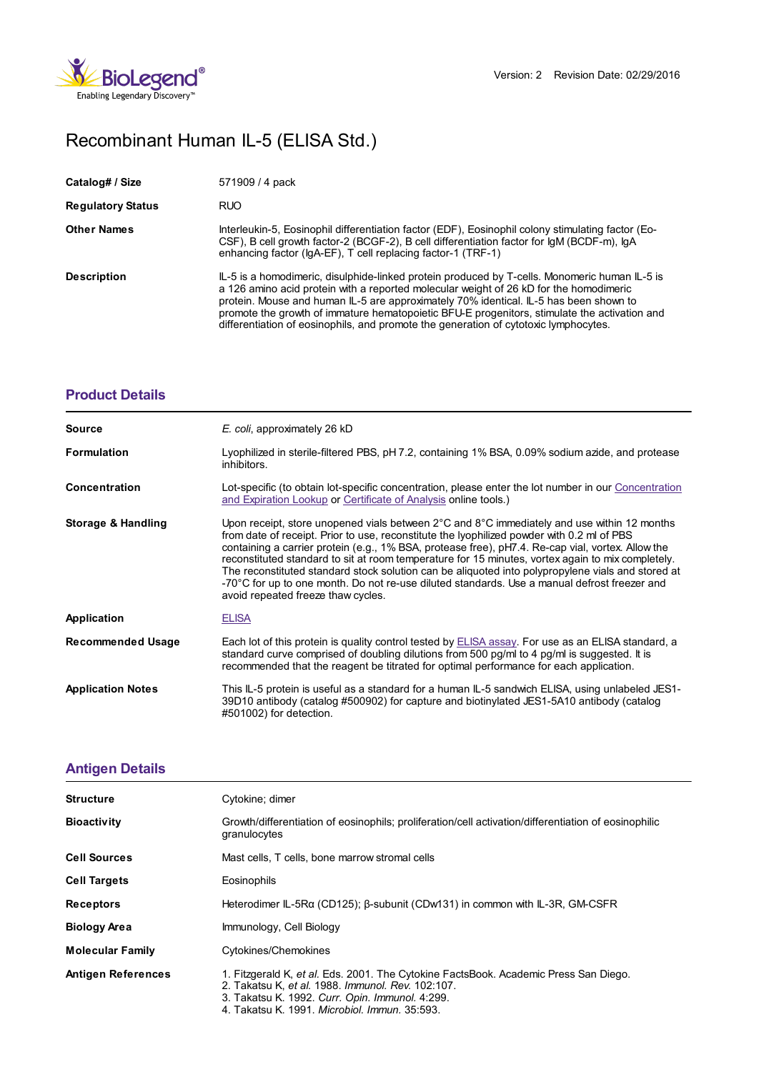

## Recombinant Human IL-5 (ELISA Std.)

| Catalog# / Size          | 571909 / 4 pack                                                                                                                                                                                                                                                                                                                                                                                                                                                          |
|--------------------------|--------------------------------------------------------------------------------------------------------------------------------------------------------------------------------------------------------------------------------------------------------------------------------------------------------------------------------------------------------------------------------------------------------------------------------------------------------------------------|
| <b>Regulatory Status</b> | <b>RUO</b>                                                                                                                                                                                                                                                                                                                                                                                                                                                               |
| <b>Other Names</b>       | Interleukin-5, Eosinophil differentiation factor (EDF), Eosinophil colony stimulating factor (Eo-<br>CSF), B cell growth factor-2 (BCGF-2), B cell differentiation factor for IgM (BCDF-m), IgA<br>enhancing factor (IgA-EF), T cell replacing factor-1 (TRF-1)                                                                                                                                                                                                          |
| <b>Description</b>       | IL-5 is a homodimeric, disulphide-linked protein produced by T-cells. Monomeric human IL-5 is<br>a 126 amino acid protein with a reported molecular weight of 26 kD for the homodimeric<br>protein. Mouse and human IL-5 are approximately 70% identical. IL-5 has been shown to<br>promote the growth of immature hematopoietic BFU-E progenitors, stimulate the activation and<br>differentiation of eosinophils, and promote the generation of cytotoxic lymphocytes. |

## **[Product](https://www.biolegend.com/en-gb/products/recombinant-human-il-5-elisa-std-6405?pdf=true&displayInline=true&leftRightMargin=15&topBottomMargin=15&filename=Recombinant Human IL-5 (ELISA Std.).pdf#productDetails) Details**

| <b>Source</b>            | E. coli, approximately 26 kD                                                                                                                                                                                                                                                                                                                                                                                                                                                                                                                                                                                                                                       |
|--------------------------|--------------------------------------------------------------------------------------------------------------------------------------------------------------------------------------------------------------------------------------------------------------------------------------------------------------------------------------------------------------------------------------------------------------------------------------------------------------------------------------------------------------------------------------------------------------------------------------------------------------------------------------------------------------------|
| <b>Formulation</b>       | Lyophilized in sterile-filtered PBS, pH 7.2, containing 1% BSA, 0.09% sodium azide, and protease<br>inhibitors.                                                                                                                                                                                                                                                                                                                                                                                                                                                                                                                                                    |
| Concentration            | Lot-specific (to obtain lot-specific concentration, please enter the lot number in our Concentration<br>and Expiration Lookup or Certificate of Analysis online tools.)                                                                                                                                                                                                                                                                                                                                                                                                                                                                                            |
| Storage & Handling       | Upon receipt, store unopened vials between $2^{\circ}$ C and $8^{\circ}$ C immediately and use within 12 months<br>from date of receipt. Prior to use, reconstitute the lyophilized powder with 0.2 ml of PBS<br>containing a carrier protein (e.g., 1% BSA, protease free), pH7.4. Re-cap vial, vortex. Allow the<br>reconstituted standard to sit at room temperature for 15 minutes, vortex again to mix completely.<br>The reconstituted standard stock solution can be aliquoted into polypropylene vials and stored at<br>-70°C for up to one month. Do not re-use diluted standards. Use a manual defrost freezer and<br>avoid repeated freeze thaw cycles. |
| Application              | <b>ELISA</b>                                                                                                                                                                                                                                                                                                                                                                                                                                                                                                                                                                                                                                                       |
| <b>Recommended Usage</b> | Each lot of this protein is quality control tested by ELISA assay. For use as an ELISA standard, a<br>standard curve comprised of doubling dilutions from 500 pg/ml to 4 pg/ml is suggested. It is<br>recommended that the reagent be titrated for optimal performance for each application.                                                                                                                                                                                                                                                                                                                                                                       |
| <b>Application Notes</b> | This IL-5 protein is useful as a standard for a human IL-5 sandwich ELISA, using unlabeled JES1-<br>39D10 antibody (catalog #500902) for capture and biotinylated JES1-5A10 antibody (catalog<br>#501002) for detection.                                                                                                                                                                                                                                                                                                                                                                                                                                           |

## **[Antigen](https://www.biolegend.com/en-gb/products/recombinant-human-il-5-elisa-std-6405?pdf=true&displayInline=true&leftRightMargin=15&topBottomMargin=15&filename=Recombinant Human IL-5 (ELISA Std.).pdf#antigenDetails) Details**

| <b>Structure</b>          | Cytokine; dimer                                                                                                                                                                              |
|---------------------------|----------------------------------------------------------------------------------------------------------------------------------------------------------------------------------------------|
| <b>Bioactivity</b>        | Growth/differentiation of eosinophils; proliferation/cell activation/differentiation of eosinophilic<br>granulocytes                                                                         |
| <b>Cell Sources</b>       | Mast cells, T cells, bone marrow stromal cells                                                                                                                                               |
| <b>Cell Targets</b>       | Eosinophils                                                                                                                                                                                  |
| <b>Receptors</b>          | Heterodimer IL-5Rα (CD125); β-subunit (CDw131) in common with IL-3R, GM-CSFR                                                                                                                 |
| <b>Biology Area</b>       | Immunology, Cell Biology                                                                                                                                                                     |
| <b>Molecular Family</b>   | Cytokines/Chemokines                                                                                                                                                                         |
| <b>Antigen References</b> | 1. Fitzgerald K, et al. Eds. 2001. The Cytokine FactsBook. Academic Press San Diego.<br>2. Takatsu K. et al. 1988. Immunol. Rev. 102:107.<br>3. Takatsu K. 1992. Curr. Opin. Immunol. 4:299. |

4. Takatsu K. 1991. *Microbiol. Immun.* 35:593.